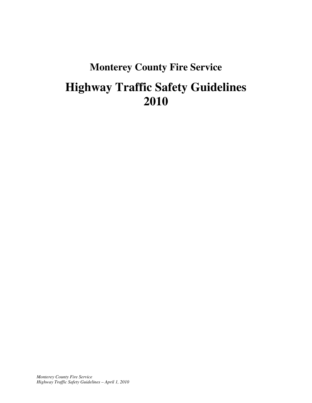# **Monterey County Fire Service Highway Traffic Safety Guidelines 2010**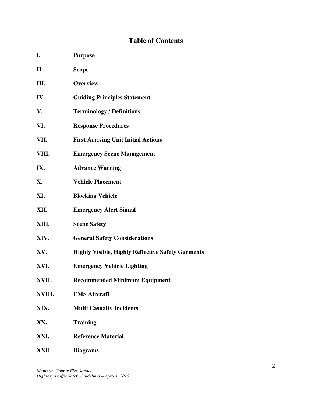# **Table of Contents**

| I.<br><b>Purpose</b> |  |
|----------------------|--|
|----------------------|--|

- **II. Scope III. Overview IV. Guiding Principles Statement V. Terminology / Definitions VI. Response Procedures VII. First Arriving Unit Initial Actions VIII. Emergency Scene Management IX. Advance Warning X. Vehicle Placement XI. Blocking Vehicle XII. Emergency Alert Signal XIII. Scene Safety XIV. General Safety Considerations XV. Highly Visible, Highly Reflective Safety Garments XVI. Emergency Vehicle Lighting XVII. Recommended Minimum Equipment XVIII. EMS Aircraft XIX. Multi Casualty Incidents XX. Training XXI. Reference Material**
- **XXII Diagrams**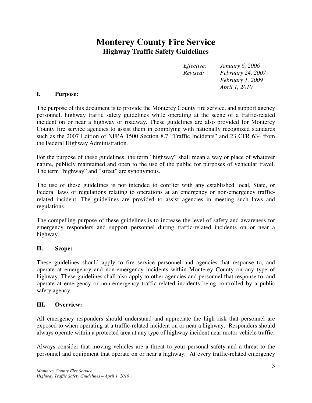# **Monterey County Fire Service Highway Traffic Safety Guidelines**

*Effective: January 6, 2006 Revised: February 24, 2007 February 1, 2009 April 1, 2010* 

#### **I. Purpose:**

The purpose of this document is to provide the Monterey County fire service, and support agency personnel, highway traffic safety guidelines while operating at the scene of a traffic-related incident on or near a highway or roadway. These guidelines are also provided for Monterey County fire service agencies to assist them in complying with nationally recognized standards such as the 2007 Edition of NFPA 1500 Section 8.7 "Traffic Incidents" and 23 CFR 634 from the Federal Highway Administration.

For the purpose of these guidelines, the term "highway" shall mean a way or place of whatever nature, publicly maintained and open to the use of the public for purposes of vehicular travel. The term "highway" and "street" are synonymous.

The use of these guidelines is not intended to conflict with any established local, State, or Federal laws or regulations relating to operations at an emergency or non-emergency trafficrelated incident. The guidelines are provided to assist agencies in meeting such laws and regulations.

The compelling purpose of these guidelines is to increase the level of safety and awareness for emergency responders and support personnel during traffic-related incidents on or near a highway.

#### **II. Scope:**

These guidelines should apply to fire service personnel and agencies that response to, and operate at emergency and non-emergency incidents within Monterey County on any type of highway. These guidelines shall also apply to other agencies and personnel that response to, and operate at emergency or non-emergency traffic-related incidents being controlled by a public safety agency.

#### **III. Overview:**

All emergency responders should understand and appreciate the high risk that personnel are exposed to when operating at a traffic-related incident on or near a highway. Responders should always operate within a protected area at any type of highway incident near motor vehicle traffic.

Always consider that moving vehicles are a threat to your personal safety and a threat to the personnel and equipment that operate on or near a highway. At every traffic-related emergency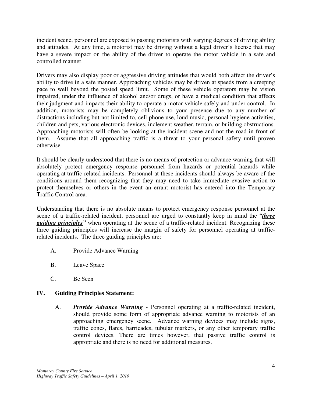incident scene, personnel are exposed to passing motorists with varying degrees of driving ability and attitudes. At any time, a motorist may be driving without a legal driver's license that may have a severe impact on the ability of the driver to operate the motor vehicle in a safe and controlled manner.

Drivers may also display poor or aggressive driving attitudes that would both affect the driver's ability to drive in a safe manner. Approaching vehicles may be driven at speeds from a creeping pace to well beyond the posted speed limit. Some of these vehicle operators may be vision impaired, under the influence of alcohol and/or drugs, or have a medical condition that affects their judgment and impacts their ability to operate a motor vehicle safely and under control. In addition, motorists may be completely oblivious to your presence due to any number of distractions including but not limited to, cell phone use, loud music, personal hygiene activities, children and pets, various electronic devices, inclement weather, terrain, or building obstructions. Approaching motorists will often be looking at the incident scene and not the road in front of them. Assume that all approaching traffic is a threat to your personal safety until proven otherwise.

It should be clearly understood that there is no means of protection or advance warning that will absolutely protect emergency response personnel from hazards or potential hazards while operating at traffic-related incidents. Personnel at these incidents should always be aware of the conditions around them recognizing that they may need to take immediate evasive action to protect themselves or others in the event an errant motorist has entered into the Temporary Traffic Control area.

Understanding that there is no absolute means to protect emergency response personnel at the scene of a traffic-related incident, personnel are urged to constantly keep in mind the "*three guiding principles*" when operating at the scene of a traffic-related incident. Recognizing these three guiding principles will increase the margin of safety for personnel operating at trafficrelated incidents. The three guiding principles are:

- A. Provide Advance Warning
- B. Leave Space
- C. Be Seen

# **IV. Guiding Principles Statement:**

A. *Provide Advance Warning -* Personnel operating at a traffic-related incident, should provide some form of appropriate advance warning to motorists of an approaching emergency scene. Advance warning devices may include signs, traffic cones, flares, barricades, tubular markers, or any other temporary traffic control devices. There are times however, that passive traffic control is appropriate and there is no need for additional measures.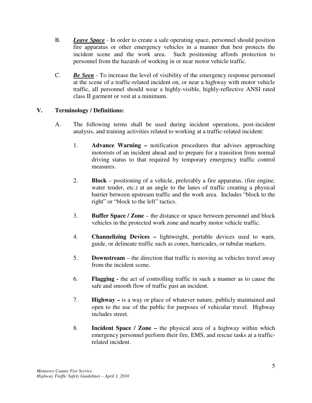- B. *Leave Space* In order to create a safe operating space, personnel should position fire apparatus or other emergency vehicles in a manner that best protects the incident scene and the work area. Such positioning affords protection to personnel from the hazards of working in or near motor vehicle traffic.
- C. *Be Seen* To increase the level of visibility of the emergency response personnel at the scene of a traffic-related incident on, or near a highway with motor vehicle traffic, all personnel should wear a highly-visible, highly-reflective ANSI rated class II garment or vest at a minimum.

#### **V. Terminology / Definitions:**

- A. The following terms shall be used during incident operations, post-incident analysis, and training activities related to working at a traffic-related incident:
	- 1. **Advance Warning** notification procedures that advises approaching motorists of an incident ahead and to prepare for a transition from normal driving status to that required by temporary emergency traffic control measures.
	- 2. **Block** positioning of a vehicle, preferably a fire apparatus, (fire engine, water tender, etc.) at an angle to the lanes of traffic creating a physical barrier between upstream traffic and the work area. Includes "block to the right" or "block to the left" tactics.
	- 3. **Buffer Space / Zone** the distance or space between personnel and block vehicles in the protected work zone and nearby motor vehicle traffic.
	- 4. **Channelizing Devices** lightweight, portable devices used to warn, guide, or delineate traffic such as cones, barricades, or tubular markers.
	- 5. **Downstream** the direction that traffic is moving as vehicles travel away from the incident scene.
	- 6. **Flagging** the act of controlling traffic in such a manner as to cause the safe and smooth flow of traffic past an incident.
	- 7. **Highway** is a way or place of whatever nature, publicly maintained and open to the use of the public for purposes of vehicular travel. Highway includes street.
	- 8. **Incident Space / Zone** the physical area of a highway within which emergency personnel perform their fire, EMS, and rescue tasks at a trafficrelated incident.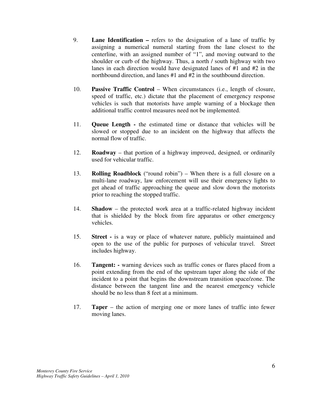- 9. **Lane Identification** refers to the designation of a lane of traffic by assigning a numerical numeral starting from the lane closest to the centerline, with an assigned number of "1", and moving outward to the shoulder or curb of the highway. Thus, a north / south highway with two lanes in each direction would have designated lanes of #1 and #2 in the northbound direction, and lanes #1 and #2 in the southbound direction.
- 10. **Passive Traffic Control** When circumstances (i.e., length of closure, speed of traffic, etc.) dictate that the placement of emergency response vehicles is such that motorists have ample warning of a blockage then additional traffic control measures need not be implemented.
- 11. **Queue Length** the estimated time or distance that vehicles will be slowed or stopped due to an incident on the highway that affects the normal flow of traffic.
- 12. **Roadway** that portion of a highway improved, designed, or ordinarily used for vehicular traffic.
- 13. **Rolling Roadblock** ("round robin") When there is a full closure on a multi-lane roadway, law enforcement will use their emergency lights to get ahead of traffic approaching the queue and slow down the motorists prior to reaching the stopped traffic.
- 14. **Shadow** the protected work area at a traffic-related highway incident that is shielded by the block from fire apparatus or other emergency vehicles.
- 15. **Street** is a way or place of whatever nature, publicly maintained and open to the use of the public for purposes of vehicular travel. Street includes highway.
- 16. **Tangent: -** warning devices such as traffic cones or flares placed from a point extending from the end of the upstream taper along the side of the incident to a point that begins the downstream transition space/zone. The distance between the tangent line and the nearest emergency vehicle should be no less than 8 feet at a minimum.
- 17. **Taper** the action of merging one or more lanes of traffic into fewer moving lanes.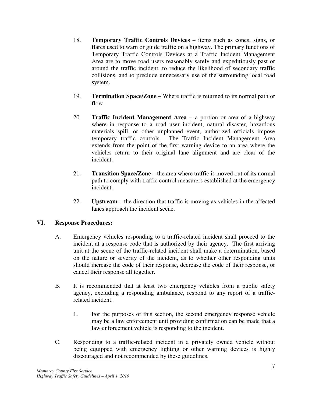- 18. **Temporary Traffic Controls Devices**  items such as cones, signs, or flares used to warn or guide traffic on a highway. The primary functions of Temporary Traffic Controls Devices at a Traffic Incident Management Area are to move road users reasonably safely and expeditiously past or around the traffic incident, to reduce the likelihood of secondary traffic collisions, and to preclude unnecessary use of the surrounding local road system.
- 19. **Termination Space/Zone –** Where traffic is returned to its normal path or flow.
- 20. **Traffic Incident Management Area** a portion or area of a highway where in response to a road user incident, natural disaster, hazardous materials spill, or other unplanned event, authorized officials impose temporary traffic controls. The Traffic Incident Management Area extends from the point of the first warning device to an area where the vehicles return to their original lane alignment and are clear of the incident.
- 21. **Transition Space/Zone** the area where traffic is moved out of its normal path to comply with traffic control measurers established at the emergency incident.
- 22. **Upstream** the direction that traffic is moving as vehicles in the affected lanes approach the incident scene.

#### **VI. Response Procedures:**

- A. Emergency vehicles responding to a traffic-related incident shall proceed to the incident at a response code that is authorized by their agency. The first arriving unit at the scene of the traffic-related incident shall make a determination, based on the nature or severity of the incident, as to whether other responding units should increase the code of their response, decrease the code of their response, or cancel their response all together.
- B. It is recommended that at least two emergency vehicles from a public safety agency, excluding a responding ambulance, respond to any report of a trafficrelated incident.
	- 1. For the purposes of this section, the second emergency response vehicle may be a law enforcement unit providing confirmation can be made that a law enforcement vehicle is responding to the incident.
- C. Responding to a traffic-related incident in a privately owned vehicle without being equipped with emergency lighting or other warning devices is highly discouraged and not recommended by these guidelines.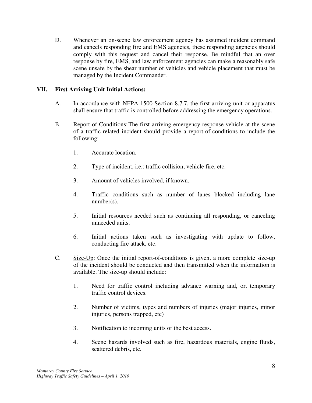D. Whenever an on-scene law enforcement agency has assumed incident command and cancels responding fire and EMS agencies, these responding agencies should comply with this request and cancel their response. Be mindful that an over response by fire, EMS, and law enforcement agencies can make a reasonably safe scene unsafe by the shear number of vehicles and vehicle placement that must be managed by the Incident Commander.

#### **VII. First Arriving Unit Initial Actions:**

- A. In accordance with NFPA 1500 Section 8.7.7, the first arriving unit or apparatus shall ensure that traffic is controlled before addressing the emergency operations.
- B. Report-of-Conditions: The first arriving emergency response vehicle at the scene of a traffic-related incident should provide a report-of-conditions to include the following:
	- 1. Accurate location.
	- 2. Type of incident, i.e.: traffic collision, vehicle fire, etc.
	- 3. Amount of vehicles involved, if known.
	- 4. Traffic conditions such as number of lanes blocked including lane number(s).
	- 5. Initial resources needed such as continuing all responding, or canceling unneeded units.
	- 6. Initial actions taken such as investigating with update to follow, conducting fire attack, etc.
- C. Size-Up: Once the initial report-of-conditions is given, a more complete size-up of the incident should be conducted and then transmitted when the information is available. The size-up should include:
	- 1. Need for traffic control including advance warning and, or, temporary traffic control devices.
	- 2. Number of victims, types and numbers of injuries (major injuries, minor injuries, persons trapped, etc)
	- 3. Notification to incoming units of the best access.
	- 4. Scene hazards involved such as fire, hazardous materials, engine fluids, scattered debris, etc.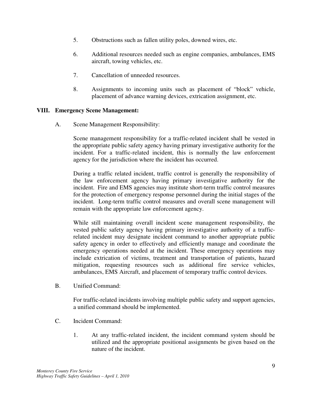- 5. Obstructions such as fallen utility poles, downed wires, etc.
- 6. Additional resources needed such as engine companies, ambulances, EMS aircraft, towing vehicles, etc.
- 7. Cancellation of unneeded resources.
- 8. Assignments to incoming units such as placement of "block" vehicle, placement of advance warning devices, extrication assignment, etc.

#### **VIII. Emergency Scene Management:**

A. Scene Management Responsibility:

Scene management responsibility for a traffic-related incident shall be vested in the appropriate public safety agency having primary investigative authority for the incident. For a traffic-related incident, this is normally the law enforcement agency for the jurisdiction where the incident has occurred.

During a traffic related incident, traffic control is generally the responsibility of the law enforcement agency having primary investigative authority for the incident. Fire and EMS agencies may institute short-term traffic control measures for the protection of emergency response personnel during the initial stages of the incident. Long-term traffic control measures and overall scene management will remain with the appropriate law enforcement agency.

While still maintaining overall incident scene management responsibility, the vested public safety agency having primary investigative authority of a trafficrelated incident may designate incident command to another appropriate public safety agency in order to effectively and efficiently manage and coordinate the emergency operations needed at the incident. These emergency operations may include extrication of victims, treatment and transportation of patients, hazard mitigation, requesting resources such as additional fire service vehicles, ambulances, EMS Aircraft, and placement of temporary traffic control devices.

B. Unified Command:

For traffic-related incidents involving multiple public safety and support agencies, a unified command should be implemented.

- C. Incident Command:
	- 1. At any traffic-related incident, the incident command system should be utilized and the appropriate positional assignments be given based on the nature of the incident.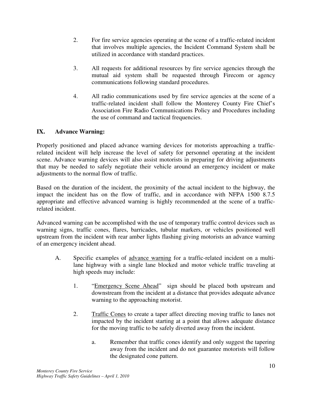- 2. For fire service agencies operating at the scene of a traffic-related incident that involves multiple agencies, the Incident Command System shall be utilized in accordance with standard practices.
- 3. All requests for additional resources by fire service agencies through the mutual aid system shall be requested through Firecom or agency communications following standard procedures.
- 4. All radio communications used by fire service agencies at the scene of a traffic-related incident shall follow the Monterey County Fire Chief's Association Fire Radio Communications Policy and Procedures including the use of command and tactical frequencies.

#### **IX. Advance Warning:**

Properly positioned and placed advance warning devices for motorists approaching a trafficrelated incident will help increase the level of safety for personnel operating at the incident scene. Advance warning devices will also assist motorists in preparing for driving adjustments that may be needed to safely negotiate their vehicle around an emergency incident or make adjustments to the normal flow of traffic.

Based on the duration of the incident, the proximity of the actual incident to the highway, the impact the incident has on the flow of traffic, and in accordance with NFPA 1500 8.7.5 appropriate and effective advanced warning is highly recommended at the scene of a trafficrelated incident.

Advanced warning can be accomplished with the use of temporary traffic control devices such as warning signs, traffic cones, flares, barricades, tubular markers, or vehicles positioned well upstream from the incident with rear amber lights flashing giving motorists an advance warning of an emergency incident ahead.

- A. Specific examples of advance warning for a traffic-related incident on a multilane highway with a single lane blocked and motor vehicle traffic traveling at high speeds may include:
	- 1. "Emergency Scene Ahead" sign should be placed both upstream and downstream from the incident at a distance that provides adequate advance warning to the approaching motorist.
	- 2. Traffic Cones to create a taper affect directing moving traffic to lanes not impacted by the incident starting at a point that allows adequate distance for the moving traffic to be safely diverted away from the incident.
		- a. Remember that traffic cones identify and only suggest the tapering away from the incident and do not guarantee motorists will follow the designated cone pattern.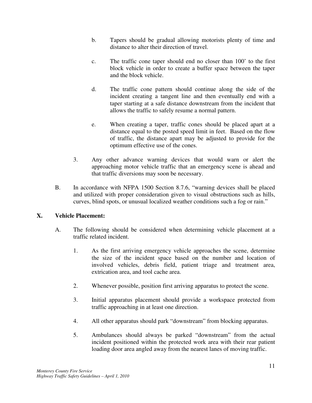- b. Tapers should be gradual allowing motorists plenty of time and distance to alter their direction of travel.
- c. The traffic cone taper should end no closer than 100' to the first block vehicle in order to create a buffer space between the taper and the block vehicle.
- d. The traffic cone pattern should continue along the side of the incident creating a tangent line and then eventually end with a taper starting at a safe distance downstream from the incident that allows the traffic to safely resume a normal pattern.
- e. When creating a taper, traffic cones should be placed apart at a distance equal to the posted speed limit in feet. Based on the flow of traffic, the distance apart may be adjusted to provide for the optimum effective use of the cones.
- 3. Any other advance warning devices that would warn or alert the approaching motor vehicle traffic that an emergency scene is ahead and that traffic diversions may soon be necessary.
- B. In accordance with NFPA 1500 Section 8.7.6, "warning devices shall be placed and utilized with proper consideration given to visual obstructions such as hills, curves, blind spots, or unusual localized weather conditions such a fog or rain."

# **X. Vehicle Placement:**

- A. The following should be considered when determining vehicle placement at a traffic related incident.
	- 1. As the first arriving emergency vehicle approaches the scene, determine the size of the incident space based on the number and location of involved vehicles, debris field, patient triage and treatment area, extrication area, and tool cache area.
	- 2. Whenever possible, position first arriving apparatus to protect the scene.
	- 3. Initial apparatus placement should provide a workspace protected from traffic approaching in at least one direction.
	- 4. All other apparatus should park "downstream" from blocking apparatus.
	- 5. Ambulances should always be parked "downstream" from the actual incident positioned within the protected work area with their rear patient loading door area angled away from the nearest lanes of moving traffic.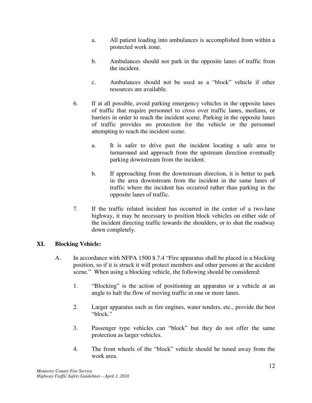- a. All patient loading into ambulances is accomplished from within a protected work zone.
- b. Ambulances should not park in the opposite lanes of traffic from the incident.
- c. Ambulances should not be used as a "block" vehicle if other resources are available.
- 6. If at all possible, avoid parking emergency vehicles in the opposite lanes of traffic that require personnel to cross over traffic lanes, medians, or barriers in order to reach the incident scene. Parking in the opposite lanes of traffic provides no protection for the vehicle or the personnel attempting to reach the incident scene.
	- a. It is safer to drive past the incident locating a safe area to turnaround and approach from the upstream direction eventually parking downstream from the incident.
	- b. If approaching from the downstream direction, it is better to park in the area downstream from the incident in the same lanes of traffic where the incident has occurred rather than parking in the opposite lanes of traffic.
- 7. If the traffic related incident has occurred in the center of a two-lane highway, it may be necessary to position block vehicles on either side of the incident directing traffic towards the shoulders, or to shut the roadway down completely.

# **XI. Blocking Vehicle:**

- A. In accordance with NFPA 1500 8.7.4 "Fire apparatus shall be placed in a blocking position, so if it is struck it will protect members and other persons at the accident scene." When using a blocking vehicle, the following should be considered:
	- 1. "Blocking" is the action of positioning an apparatus or a vehicle at an angle to halt the flow of moving traffic in one or more lanes.
	- 2. Larger apparatus such as fire engines, water tenders, etc., provide the best "block."
	- 3. Passenger type vehicles can "block" but they do not offer the same protection as larger vehicles.
	- 4. The front wheels of the "block" vehicle should be tuned away from the work area.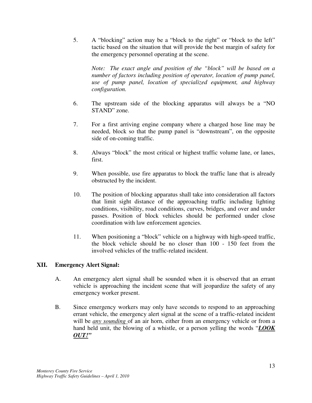5. A "blocking" action may be a "block to the right" or "block to the left" tactic based on the situation that will provide the best margin of safety for the emergency personnel operating at the scene.

*Note: The exact angle and position of the "block" will be based on a number of factors including position of operator, location of pump panel, use of pump panel, location of specialized equipment, and highway configuration.* 

- 6. The upstream side of the blocking apparatus will always be a "NO STAND" zone.
- 7. For a first arriving engine company where a charged hose line may be needed, block so that the pump panel is "downstream", on the opposite side of on-coming traffic.
- 8. Always "block" the most critical or highest traffic volume lane, or lanes, first.
- 9. When possible, use fire apparatus to block the traffic lane that is already obstructed by the incident.
- 10. The position of blocking apparatus shall take into consideration all factors that limit sight distance of the approaching traffic including lighting conditions, visibility, road conditions, curves, bridges, and over and under passes. Position of block vehicles should be performed under close coordination with law enforcement agencies.
- 11. When positioning a "block" vehicle on a highway with high-speed traffic, the block vehicle should be no closer than 100 - 150 feet from the involved vehicles of the traffic-related incident.

#### **XII. Emergency Alert Signal:**

- A. An emergency alert signal shall be sounded when it is observed that an errant vehicle is approaching the incident scene that will jeopardize the safety of any emergency worker present.
- B. Since emergency workers may only have seconds to respond to an approaching errant vehicle, the emergency alert signal at the scene of a traffic-related incident will be *any sounding* of an air horn, either from an emergency vehicle or from a hand held unit, the blowing of a whistle, or a person yelling the words "*LOOK OUT!"*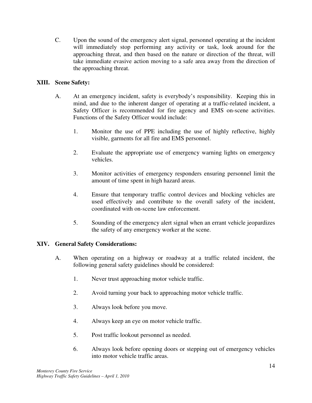C. Upon the sound of the emergency alert signal, personnel operating at the incident will immediately stop performing any activity or task, look around for the approaching threat, and then based on the nature or direction of the threat, will take immediate evasive action moving to a safe area away from the direction of the approaching threat.

#### **XIII. Scene Safety:**

- A. At an emergency incident, safety is everybody's responsibility. Keeping this in mind, and due to the inherent danger of operating at a traffic-related incident, a Safety Officer is recommended for fire agency and EMS on-scene activities. Functions of the Safety Officer would include:
	- 1. Monitor the use of PPE including the use of highly reflective, highly visible, garments for all fire and EMS personnel.
	- 2. Evaluate the appropriate use of emergency warning lights on emergency vehicles.
	- 3. Monitor activities of emergency responders ensuring personnel limit the amount of time spent in high hazard areas.
	- 4. Ensure that temporary traffic control devices and blocking vehicles are used effectively and contribute to the overall safety of the incident, coordinated with on-scene law enforcement.
	- 5. Sounding of the emergency alert signal when an errant vehicle jeopardizes the safety of any emergency worker at the scene.

#### **XIV. General Safety Considerations:**

- A. When operating on a highway or roadway at a traffic related incident, the following general safety guidelines should be considered:
	- 1. Never trust approaching motor vehicle traffic.
	- 2. Avoid turning your back to approaching motor vehicle traffic.
	- 3. Always look before you move.
	- 4. Always keep an eye on motor vehicle traffic.
	- 5. Post traffic lookout personnel as needed.
	- 6. Always look before opening doors or stepping out of emergency vehicles into motor vehicle traffic areas.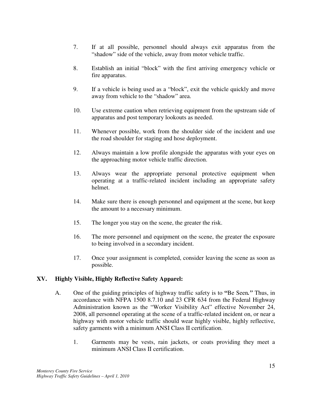- 7. If at all possible, personnel should always exit apparatus from the "shadow" side of the vehicle, away from motor vehicle traffic.
- 8. Establish an initial "block" with the first arriving emergency vehicle or fire apparatus.
- 9. If a vehicle is being used as a "block", exit the vehicle quickly and move away from vehicle to the "shadow" area.
- 10. Use extreme caution when retrieving equipment from the upstream side of apparatus and post temporary lookouts as needed.
- 11. Whenever possible, work from the shoulder side of the incident and use the road shoulder for staging and hose deployment.
- 12. Always maintain a low profile alongside the apparatus with your eyes on the approaching motor vehicle traffic direction.
- 13. Always wear the appropriate personal protective equipment when operating at a traffic-related incident including an appropriate safety helmet.
- 14. Make sure there is enough personnel and equipment at the scene, but keep the amount to a necessary minimum.
- 15. The longer you stay on the scene, the greater the risk.
- 16. The more personnel and equipment on the scene, the greater the exposure to being involved in a secondary incident.
- 17. Once your assignment is completed, consider leaving the scene as soon as possible.

#### **XV. Highly Visible, Highly Reflective Safety Apparel:**

- A. One of the guiding principles of highway traffic safety is to **"**Be Seen*."* Thus, in accordance with NFPA 1500 8.7.10 and 23 CFR 634 from the Federal Highway Administration known as the "Worker Visibility Act" effective November 24, 2008, all personnel operating at the scene of a traffic-related incident on, or near a highway with motor vehicle traffic should wear highly visible, highly reflective, safety garments with a minimum ANSI Class II certification.
	- 1. Garments may be vests, rain jackets, or coats providing they meet a minimum ANSI Class II certification.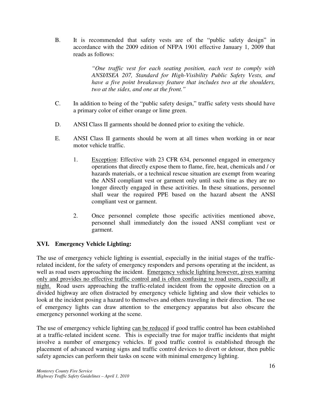B. It is recommended that safety vests are of the "public safety design" in accordance with the 2009 edition of NFPA 1901 effective January 1, 2009 that reads as follows:

> *"One traffic vest for each seating position, each vest to comply with ANSI/ISEA 207, Standard for High-Visibility Public Safety Vests, and have a five point breakaway feature that includes two at the shoulders, two at the sides, and one at the front."*

- C. In addition to being of the "public safety design," traffic safety vests should have a primary color of either orange or lime green.
- D. ANSI Class II garments should be donned prior to exiting the vehicle.
- E. ANSI Class II garments should be worn at all times when working in or near motor vehicle traffic.
	- 1. Exception: Effective with 23 CFR 634, personnel engaged in emergency operations that directly expose them to flame, fire, heat, chemicals and / or hazards materials, or a technical rescue situation are exempt from wearing the ANSI compliant vest or garment only until such time as they are no longer directly engaged in these activities. In these situations, personnel shall wear the required PPE based on the hazard absent the ANSI compliant vest or garment.
	- 2. Once personnel complete those specific activities mentioned above, personnel shall immediately don the issued ANSI compliant vest or garment.

#### **XVI. Emergency Vehicle Lighting:**

The use of emergency vehicle lighting is essential, especially in the initial stages of the trafficrelated incident, for the safety of emergency responders and persons operating at the incident, as well as road users approaching the incident. Emergency vehicle lighting however, gives warning only and provides no effective traffic control and is often confusing to road users, especially at night. Road users approaching the traffic-related incident from the opposite direction on a divided highway are often distracted by emergency vehicle lighting and slow their vehicles to look at the incident posing a hazard to themselves and others traveling in their direction. The use of emergency lights can draw attention to the emergency apparatus but also obscure the emergency personnel working at the scene.

The use of emergency vehicle lighting can be reduced if good traffic control has been established at a traffic-related incident scene. This is especially true for major traffic incidents that might involve a number of emergency vehicles. If good traffic control is established through the placement of advanced warning signs and traffic control devices to divert or detour, then public safety agencies can perform their tasks on scene with minimal emergency lighting.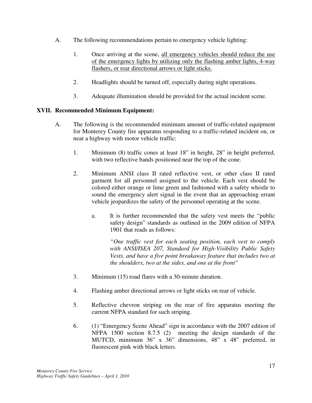- A. The following recommendations pertain to emergency vehicle lighting:
	- 1. Once arriving at the scene, all emergency vehicles should reduce the use of the emergency lights by utilizing only the flashing amber lights, 4-way flashers, or rear directional arrows or light sticks.
	- 2. Headlights should be turned off, especially during night operations.
	- 3. Adequate illumination should be provided for the actual incident scene.

#### **XVII. Recommended Minimum Equipment:**

- A. The following is the recommended minimum amount of traffic-related equipment for Monterey County fire apparatus responding to a traffic-related incident on, or near a highway with motor vehicle traffic:
	- 1. Minimum (8) traffic cones at least 18" in height, 28" in height preferred, with two reflective bands positioned near the top of the cone.
	- 2. Minimum ANSI class II rated reflective vest, or other class II rated garment for all personnel assigned to the vehicle. Each vest should be colored either orange or lime green and fashioned with a safety whistle to sound the emergency alert signal in the event that an approaching errant vehicle jeopardizes the safety of the personnel operating at the scene.
		- a. It is further recommended that the safety vest meets the "public safety design" standards as outlined in the 2009 edition of NFPA 1901 that reads as follows:

*"One traffic vest for each seating position, each vest to comply with ANSI/ISEA 207, Standard for High-Visibility Public Safety Vests, and have a five point breakaway feature that includes two at the shoulders, two at the sides, and one at the front"* 

- 3. Minimum (15) road flares with a 30-minute duration.
- 4. Flashing amber directional arrows or light sticks on rear of vehicle.
- 5. Reflective chevron striping on the rear of fire apparatus meeting the current NFPA standard for such striping.
- 6. (1) "Emergency Scene Ahead" sign in accordance with the 2007 edition of NFPA 1500 section 8.7.5 (2) meeting the design standards of the MUTCD, minimum 36" x 36" dimensions, 48" x 48" preferred, in fluorescent pink with black letters.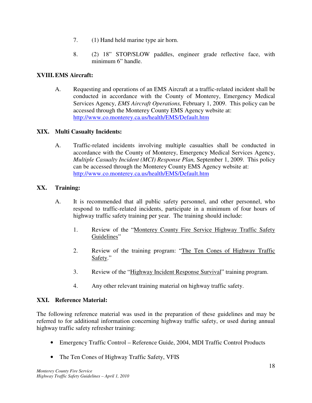- 7. (1) Hand held marine type air horn.
- 8. (2) 18" STOP/SLOW paddles, engineer grade reflective face, with minimum 6" handle.

# **XVIII. EMS Aircraft:**

A. Requesting and operations of an EMS Aircraft at a traffic-related incident shall be conducted in accordance with the County of Monterey, Emergency Medical Services Agency, *EMS Aircraft Operations,* February 1, 2009. This policy can be accessed through the Monterey County EMS Agency website at: http://www.co.monterey.ca.us/health/EMS/Default.htm

#### **XIX. Multi Casualty Incidents:**

A. Traffic-related incidents involving multiple casualties shall be conducted in accordance with the County of Monterey, Emergency Medical Services Agency, *Multiple Casualty Incident (MCI) Response Plan,* September 1, 2009. This policy can be accessed through the Monterey County EMS Agency website at: http://www.co.monterey.ca.us/health/EMS/Default.htm

# **XX. Training:**

- A. It is recommended that all public safety personnel, and other personnel, who respond to traffic-related incidents, participate in a minimum of four hours of highway traffic safety training per year. The training should include:
	- 1. Review of the "Monterey County Fire Service Highway Traffic Safety Guidelines"
	- 2. Review of the training program: "The Ten Cones of Highway Traffic Safety."
	- 3. Review of the "Highway Incident Response Survival" training program.
	- 4. Any other relevant training material on highway traffic safety.

#### **XXI. Reference Material:**

The following reference material was used in the preparation of these guidelines and may be referred to for additional information concerning highway traffic safety, or used during annual highway traffic safety refresher training:

- Emergency Traffic Control Reference Guide, 2004, MDI Traffic Control Products
- The Ten Cones of Highway Traffic Safety, VFIS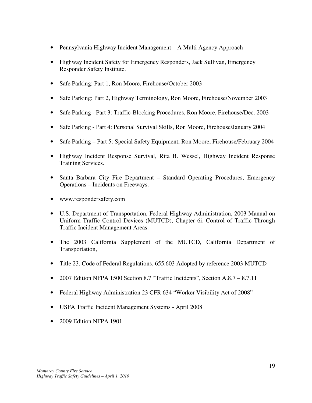- Pennsylvania Highway Incident Management A Multi Agency Approach
- Highway Incident Safety for Emergency Responders, Jack Sullivan, Emergency Responder Safety Institute.
- Safe Parking: Part 1, Ron Moore, Firehouse/October 2003
- Safe Parking: Part 2, Highway Terminology, Ron Moore, Firehouse/November 2003
- Safe Parking Part 3: Traffic-Blocking Procedures, Ron Moore, Firehouse/Dec. 2003
- Safe Parking Part 4: Personal Survival Skills, Ron Moore, Firehouse/January 2004
- Safe Parking Part 5: Special Safety Equipment, Ron Moore, Firehouse/February 2004
- Highway Incident Response Survival, Rita B. Wessel, Highway Incident Response Training Services.
- Santa Barbara City Fire Department Standard Operating Procedures, Emergency Operations – Incidents on Freeways.
- www.respondersafety.com
- U.S. Department of Transportation, Federal Highway Administration, 2003 Manual on Uniform Traffic Control Devices (MUTCD), Chapter 6i. Control of Traffic Through Traffic Incident Management Areas.
- The 2003 California Supplement of the MUTCD, California Department of Transportation,
- Title 23, Code of Federal Regulations, 655.603 Adopted by reference 2003 MUTCD
- 2007 Edition NFPA 1500 Section 8.7 "Traffic Incidents", Section A.8.7 8.7.11
- Federal Highway Administration 23 CFR 634 "Worker Visibility Act of 2008"
- USFA Traffic Incident Management Systems April 2008
- 2009 Edition NFPA 1901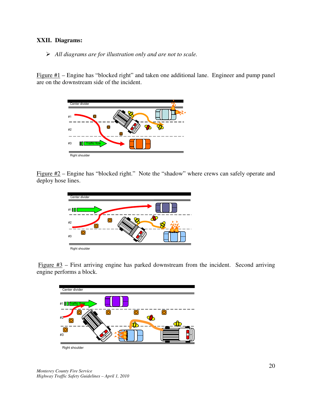#### **XXII. Diagrams:**

#### *All diagrams are for illustration only and are not to scale.*

Figure  $#1$  – Engine has "blocked right" and taken one additional lane. Engineer and pump panel are on the downstream side of the incident.



Figure  $\#2$  – Engine has "blocked right." Note the "shadow" where crews can safely operate and deploy hose lines.



Figure  $#3$  – First arriving engine has parked downstream from the incident. Second arriving engine performs a block.